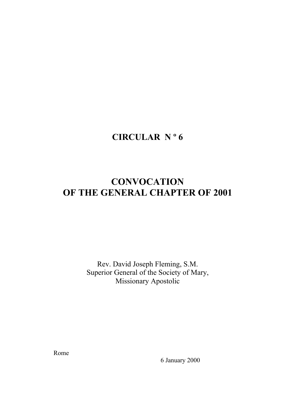# **CIRCULAR N º 6**

# **CONVOCATION OF THE GENERAL CHAPTER OF 2001**

Rev. David Joseph Fleming, S.M. Superior General of the Society of Mary, Missionary Apostolic

Rome

6 January 2000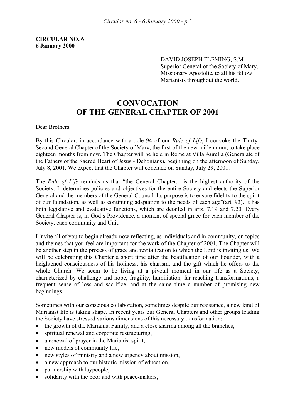DAVID JOSEPH FLEMING, S.M. Superior General of the Society of Mary, Missionary Apostolic, to all his fellow Marianists throughout the world.

## **CONVOCATION OF THE GENERAL CHAPTER OF 2001**

Dear Brothers,

By this Circular, in accordance with article 94 of our *Rule of Life*, I convoke the Thirty-Second General Chapter of the Society of Mary, the first of the new millennium, to take place eighteen months from now. The Chapter will be held in Rome at Villa Aurelia (Generalate of the Fathers of the Sacred Heart of Jesus - Dehonians), beginning on the afternoon of Sunday, July 8, 2001. We expect that the Chapter will conclude on Sunday, July 29, 2001.

The *Rule of Life* reminds us that "the General Chapter... is the highest authority of the Society. It determines policies and objectives for the entire Society and elects the Superior General and the members of the General Council. Its purpose is to ensure fidelity to the spirit of our foundation, as well as continuing adaptation to the needs of each age"(art. 93). It has both legislative and evaluative functions, which are detailed in arts. 7.19 and 7.20. Every General Chapter is, in God's Providence, a moment of special grace for each member of the Society, each community and Unit.

I invite all of you to begin already now reflecting, as individuals and in community, on topics and themes that you feel are important for the work of the Chapter of 2001. The Chapter will be another step in the process of grace and revitalization to which the Lord is inviting us. We will be celebrating this Chapter a short time after the beatification of our Founder, with a heightened consciousness of his holiness, his charism, and the gift which he offers to the whole Church. We seem to be living at a pivotal moment in our life as a Society, characterized by challenge and hope, fragility, humiliation, far-reaching transformations, a frequent sense of loss and sacrifice, and at the same time a number of promising new beginnings.

Sometimes with our conscious collaboration, sometimes despite our resistance, a new kind of Marianist life is taking shape. In recent years our General Chapters and other groups leading the Society have stressed various dimensions of this necessary transformation:

- the growth of the Marianist Family, and a close sharing among all the branches,
- spiritual renewal and corporate restructuring,
- a renewal of prayer in the Marianist spirit,
- new models of community life,
- new styles of ministry and a new urgency about mission,
- a new approach to our historic mission of education,
- partnership with laypeople,
- solidarity with the poor and with peace-makers,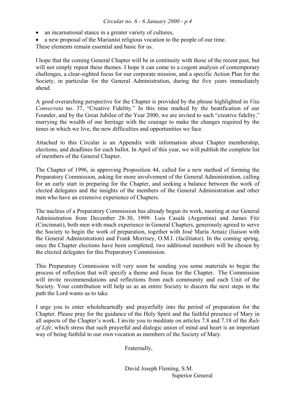#### *Circular no. 6 - 6 January 2000 - p.4*

- an incarnational stance in a greater variety of cultures,
- a new proposal of the Marianist religious vocation to the people of our time.

These elements remain essential and basic for us.

I hope that the coming General Chapter will be in continuity with those of the recent past, but will not simply repeat these themes. I hope it can come to a cogent analysis of contemporary challenges, a clear-sighted focus for our corporate mission, and a specific Action Plan for the Society, in particular for the General Administration, during the five years immediately ahead.

A good overarching perspective for the Chapter is provided by the phrase highlighted in *Vita Consecrata* no. 37, "Creative Fidelity." In this time marked by the beatification of our Founder, and by the Great Jubilee of the Year 2000, we are invited to such "creative fidelity," marrying the wealth of our heritage with the courage to make the changes required by the times in which we live, the new difficulties and opportunities we face.

Attached to this Circular is an Appendix with information about Chapter membership, elections, and deadlines for each ballot. In April of this year, we will publish the complete list of members of the General Chapter.

The Chapter of 1996, in approving Proposition 44, called for a new method of forming the Preparatory Commission, asking for more involvement of the General Administration, calling for an early start in preparing for the Chapter, and seeking a balance between the work of elected delegates and the insights of the members of the General Administration and other men who have an extensive experience of Chapters.

The nucleus of a Preparatory Commission has already begun its work, meeting at our General Administration from December 28-30, 1999. Luis Casalá (Argentina) and James Fitz (Cincinnati), both men with much experience in General Chapters, generously agreed to serve the Society to begin the work of preparation, together with José María Arnaiz (liaison with the General Administration) and Frank Morrisey, O.M.I. (facilitator). In the coming spring, once the Chapter elections have been completed, two additional members will be chosen by the elected delegates for this Preparatory Commission.

This Preparatory Commission will very soon be sending you some materials to begin the process of reflection that will specify a theme and focus for the Chapter. The Commission will invite recommendations and reflections from each community and each Unit of the Society. Your contribution will help us as an entire Society to discern the next steps in the path the Lord wants us to take.

I urge you to enter wholeheartedly and prayerfully into the period of preparation for the Chapter. Please pray for the guidance of the Holy Spirit and the faithful presence of Mary in all aspects of the Chapter's work. I invite you to meditate on articles 7.8 and 7.18 of the *Rule of Life*, which stress that such prayerful and dialogic union of mind and heart is an important way of being faithful to our own vocation as members of the Society of Mary.

Fraternally,

 David Joseph Fleming, S.M. Superior General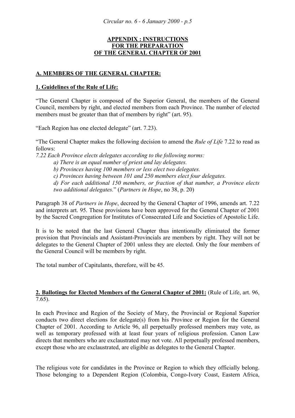#### **APPENDIX : INSTRUCTIONS FOR THE PREPARATION OF THE GENERAL CHAPTER OF 2001**

#### **A. MEMBERS OF THE GENERAL CHAPTER:**

#### **1. Guidelines of the Rule of Life:**

"The General Chapter is composed of the Superior General, the members of the General Council, members by right, and elected members from each Province. The number of elected members must be greater than that of members by right" (art. 95).

"Each Region has one elected delegate" (art. 7.23).

"The General Chapter makes the following decision to amend the *Rule of Life* 7.22 to read as follows:

*7.22 Each Province elects delegates according to the following norms:* 

 *a) There is an equal number of priest and lay delegates.* 

 *b) Provinces having 100 members or less elect two delegates.* 

 *c) Provinces having between 101 and 250 members elect four delegates.* 

*d) For each additional 150 members, or fraction of that number, a Province elects two additional delegates.*" (*Partners in Hope*, no 38, p. 20)

Paragraph 38 of *Partners in Hope*, decreed by the General Chapter of 1996, amends art. 7.22 and interprets art. 95. These provisions have been approved for the General Chapter of 2001 by the Sacred Congregation for Institutes of Consecrated Life and Societies of Apostolic Life.

It is to be noted that the last General Chapter thus intentionally eliminated the former provision that Provincials and Assistant-Provincials are members by right. They will not be delegates to the General Chapter of 2001 unless they are elected. Only the four members of the General Council will be members by right.

The total number of Capitulants, therefore, will be 45.

#### **2. Ballotings for Elected Members of the General Chapter of 2001:** (Rule of Life, art. 96, 7.65).

In each Province and Region of the Society of Mary, the Provincial or Regional Superior conducts two direct elections for delegate(s) from his Province or Region for the General Chapter of 2001. According to Article 96, all perpetually professed members may vote, as well as temporary professed with at least four years of religious profession. Canon Law directs that members who are exclaustrated may not vote. All perpetually professed members, except those who are exclaustrated, are eligible as delegates to the General Chapter.

The religious vote for candidates in the Province or Region to which they officially belong. Those belonging to a Dependent Region (Colombia, Congo-Ivory Coast, Eastern Africa,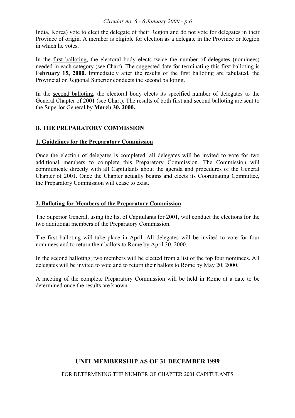#### *Circular no. 6 - 6 January 2000 - p.6*

India, Korea) vote to elect the delegate of their Region and do not vote for delegates in their Province of origin. A member is eligible for election as a delegate in the Province or Region in which he votes.

In the first balloting, the electoral body elects twice the number of delegates (nominees) needed in each category (see Chart). The suggested date for terminating this first balloting is **February 15, 2000.** Immediately after the results of the first balloting are tabulated, the Provincial or Regional Superior conducts the second balloting.

In the second balloting, the electoral body elects its specified number of delegates to the General Chapter of 2001 (see Chart). The results of both first and second balloting are sent to the Superior General by **March 30, 2000.** 

### **B. THE PREPARATORY COMMISSION**

#### **1. Guidelines for the Preparatory Commission**

Once the election of delegates is completed, all delegates will be invited to vote for two additional members to complete this Preparatory Commission. The Commission will communicate directly with all Capitulants about the agenda and procedures of the General Chapter of 2001. Once the Chapter actually begins and elects its Coordinating Committee, the Preparatory Commission will cease to exist.

#### **2. Balloting for Members of the Preparatory Commission**

The Superior General, using the list of Capitulants for 2001, will conduct the elections for the two additional members of the Preparatory Commission.

The first balloting will take place in April. All delegates will be invited to vote for four nominees and to return their ballots to Rome by April 30, 2000.

In the second balloting, two members will be elected from a list of the top four nominees. All delegates will be invited to vote and to return their ballots to Rome by May 20, 2000.

A meeting of the complete Preparatory Commission will be held in Rome at a date to be determined once the results are known.

### **UNIT MEMBERSHIP AS OF 31 DECEMBER 1999**

FOR DETERMINING THE NUMBER OF CHAPTER 2001 CAPITULANTS